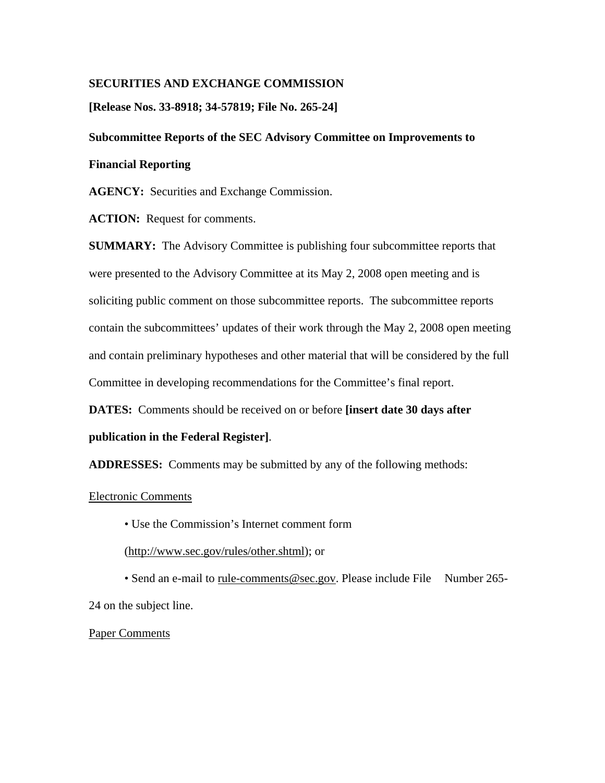### **SECURITIES AND EXCHANGE COMMISSION**

**[Release Nos. 33-8918; 34-57819; File No. 265-24]** 

## **Subcommittee Reports of the SEC Advisory Committee on Improvements to**

#### **Financial Reporting**

**AGENCY:** Securities and Exchange Commission.

**ACTION:** Request for comments.

**SUMMARY:** The Advisory Committee is publishing four subcommittee reports that were presented to the Advisory Committee at its May 2, 2008 open meeting and is soliciting public comment on those subcommittee reports. The subcommittee reports contain the subcommittees' updates of their work through the May 2, 2008 open meeting and contain preliminary hypotheses and other material that will be considered by the full Committee in developing recommendations for the Committee's final report.

**DATES:** Comments should be received on or before **[insert date 30 days after** 

### **publication in the Federal Register]**.

**ADDRESSES:** Comments may be submitted by any of the following methods:

#### Electronic Comments

• Use the Commission's Internet comment form

(http://www.sec.gov/rules/other.shtml); or

• Send an e-mail to rule-comments@sec.gov. Please include File Number 265-24 on the subject line.

Paper Comments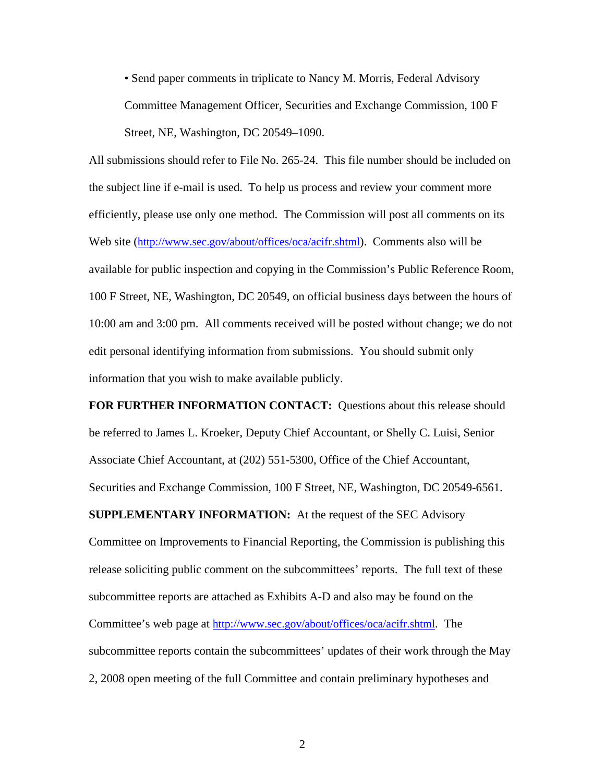• Send paper comments in triplicate to Nancy M. Morris, Federal Advisory Committee Management Officer, Securities and Exchange Commission, 100 F Street, NE, Washington, DC 20549–1090.

All submissions should refer to File No. 265-24. This file number should be included on the subject line if e-mail is used. To help us process and review your comment more efficiently, please use only one method. The Commission will post all comments on its Web site (http://www.sec.gov/about/offices/oca/acifr.shtml). Comments also will be available for public inspection and copying in the Commission's Public Reference Room, 100 F Street, NE, Washington, DC 20549, on official business days between the hours of 10:00 am and 3:00 pm. All comments received will be posted without change; we do not edit personal identifying information from submissions. You should submit only information that you wish to make available publicly.

**FOR FURTHER INFORMATION CONTACT:** Questions about this release should be referred to James L. Kroeker, Deputy Chief Accountant, or Shelly C. Luisi, Senior Associate Chief Accountant, at (202) 551-5300, Office of the Chief Accountant, Securities and Exchange Commission, 100 F Street, NE, Washington, DC 20549-6561. **SUPPLEMENTARY INFORMATION:** At the request of the SEC Advisory Committee on Improvements to Financial Reporting, the Commission is publishing this release soliciting public comment on the subcommittees' reports. The full text of these subcommittee reports are attached as Exhibits A-D and also may be found on the Committee's web page at http://www.sec.gov/about/offices/oca/acifr.shtml. The subcommittee reports contain the subcommittees' updates of their work through the May 2, 2008 open meeting of the full Committee and contain preliminary hypotheses and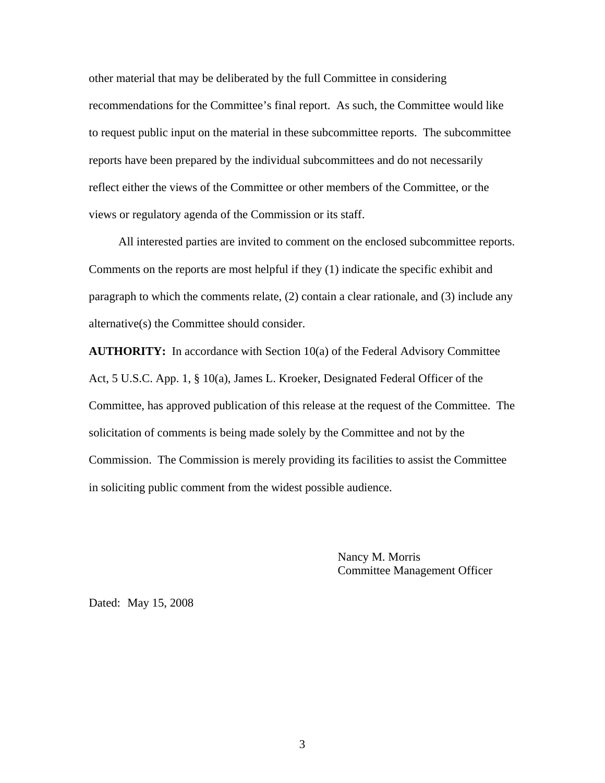other material that may be deliberated by the full Committee in considering recommendations for the Committee's final report. As such, the Committee would like to request public input on the material in these subcommittee reports. The subcommittee reports have been prepared by the individual subcommittees and do not necessarily reflect either the views of the Committee or other members of the Committee, or the views or regulatory agenda of the Commission or its staff.

 All interested parties are invited to comment on the enclosed subcommittee reports. Comments on the reports are most helpful if they (1) indicate the specific exhibit and paragraph to which the comments relate, (2) contain a clear rationale, and (3) include any alternative(s) the Committee should consider.

**AUTHORITY:** In accordance with Section 10(a) of the Federal Advisory Committee Act, 5 U.S.C. App. 1, § 10(a), James L. Kroeker, Designated Federal Officer of the Committee, has approved publication of this release at the request of the Committee. The solicitation of comments is being made solely by the Committee and not by the Commission. The Commission is merely providing its facilities to assist the Committee in soliciting public comment from the widest possible audience.

> Nancy M. Morris Committee Management Officer

Dated: May 15, 2008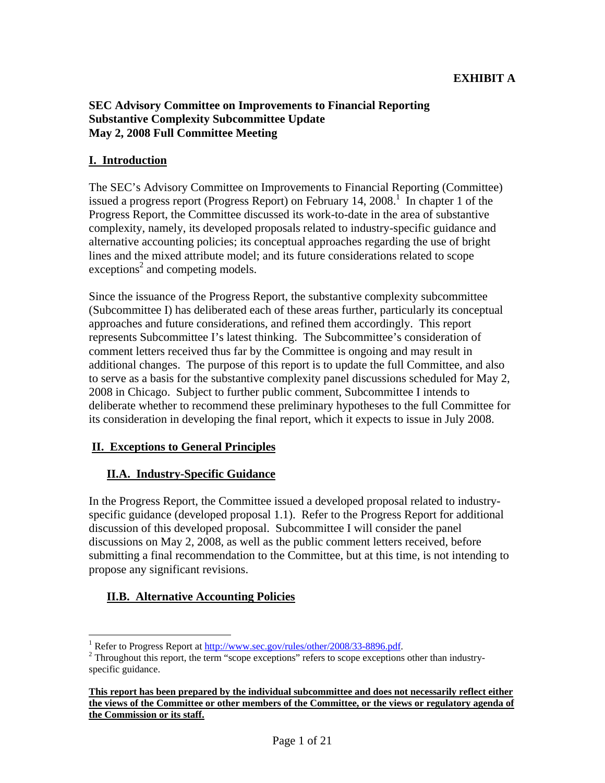# **EXHIBIT A**

## **SEC Advisory Committee on Improvements to Financial Reporting Substantive Complexity Subcommittee Update May 2, 2008 Full Committee Meeting**

## **I. Introduction**

The SEC's Advisory Committee on Improvements to Financial Reporting (Committee) issued a progress report (Progress Report) on February 14, 2008.<sup>1</sup> In chapter 1 of the Progress Report, the Committee discussed its work-to-date in the area of substantive complexity, namely, its developed proposals related to industry-specific guidance and alternative accounting policies; its conceptual approaches regarding the use of bright lines and the mixed attribute model; and its future considerations related to scope exceptions<sup>2</sup> and competing models.

Since the issuance of the Progress Report, the substantive complexity subcommittee (Subcommittee I) has deliberated each of these areas further, particularly its conceptual approaches and future considerations, and refined them accordingly. This report represents Subcommittee I's latest thinking. The Subcommittee's consideration of comment letters received thus far by the Committee is ongoing and may result in additional changes. The purpose of this report is to update the full Committee, and also to serve as a basis for the substantive complexity panel discussions scheduled for May 2, 2008 in Chicago. Subject to further public comment, Subcommittee I intends to deliberate whether to recommend these preliminary hypotheses to the full Committee for its consideration in developing the final report, which it expects to issue in July 2008.

### **II. Exceptions to General Principles**

# **II.A. Industry-Specific Guidance**

In the Progress Report, the Committee issued a developed proposal related to industryspecific guidance (developed proposal 1.1). Refer to the Progress Report for additional discussion of this developed proposal. Subcommittee I will consider the panel discussions on May 2, 2008, as well as the public comment letters received, before submitting a final recommendation to the Committee, but at this time, is not intending to propose any significant revisions.

# **II.B. Alternative Accounting Policies**

<sup>1</sup> Refer to Progress Report at http://www.sec.gov/rules/other/2008/33-8896.pdf. 2

<sup>&</sup>lt;sup>2</sup> Throughout this report, the term "scope exceptions" refers to scope exceptions other than industryspecific guidance.

**This report has been prepared by the individual subcommittee and does not necessarily reflect either the views of the Committee or other members of the Committee, or the views or regulatory agenda of the Commission or its staff.**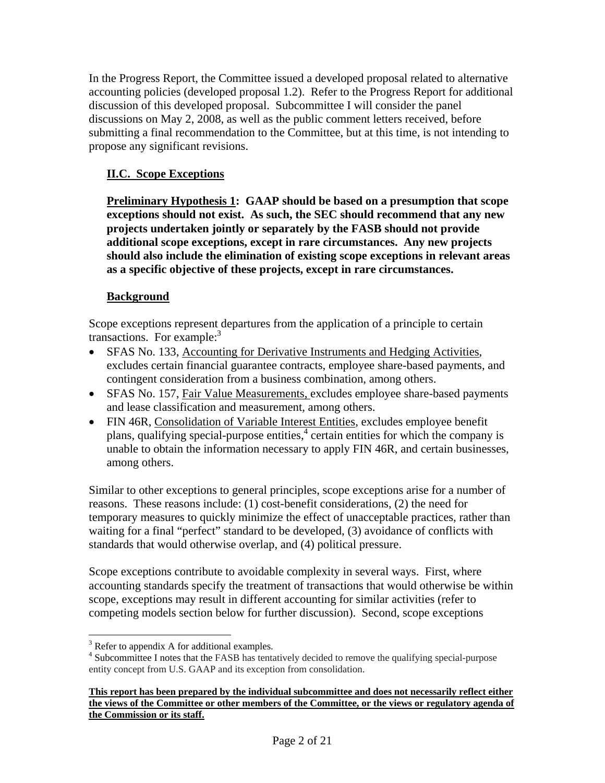In the Progress Report, the Committee issued a developed proposal related to alternative accounting policies (developed proposal 1.2). Refer to the Progress Report for additional discussion of this developed proposal. Subcommittee I will consider the panel discussions on May 2, 2008, as well as the public comment letters received, before submitting a final recommendation to the Committee, but at this time, is not intending to propose any significant revisions.

# **II.C. Scope Exceptions**

**Preliminary Hypothesis 1: GAAP should be based on a presumption that scope exceptions should not exist. As such, the SEC should recommend that any new projects undertaken jointly or separately by the FASB should not provide additional scope exceptions, except in rare circumstances. Any new projects should also include the elimination of existing scope exceptions in relevant areas as a specific objective of these projects, except in rare circumstances.** 

# **Background**

Scope exceptions represent departures from the application of a principle to certain transactions. For example: $3$ 

- SFAS No. 133, Accounting for Derivative Instruments and Hedging Activities, excludes certain financial guarantee contracts, employee share-based payments, and contingent consideration from a business combination, among others.
- SFAS No. 157, Fair Value Measurements, excludes employee share-based payments and lease classification and measurement, among others.
- FIN 46R, Consolidation of Variable Interest Entities, excludes employee benefit plans, qualifying special-purpose entities,<sup>4</sup> certain entities for which the company is unable to obtain the information necessary to apply FIN 46R, and certain businesses, among others.

Similar to other exceptions to general principles, scope exceptions arise for a number of reasons. These reasons include: (1) cost-benefit considerations, (2) the need for temporary measures to quickly minimize the effect of unacceptable practices, rather than waiting for a final "perfect" standard to be developed, (3) avoidance of conflicts with standards that would otherwise overlap, and (4) political pressure.

Scope exceptions contribute to avoidable complexity in several ways. First, where accounting standards specify the treatment of transactions that would otherwise be within scope, exceptions may result in different accounting for similar activities (refer to competing models section below for further discussion). Second, scope exceptions

<sup>&</sup>lt;sup>3</sup> Refer to appendix A for additional examples.<br><sup>4</sup> Subsemmittee I notes that the EASP has tented

<sup>&</sup>lt;sup>4</sup> Subcommittee I notes that the FASB has tentatively decided to remove the qualifying special-purpose entity concept from U.S. GAAP and its exception from consolidation.

**This report has been prepared by the individual subcommittee and does not necessarily reflect either the views of the Committee or other members of the Committee, or the views or regulatory agenda of the Commission or its staff.**